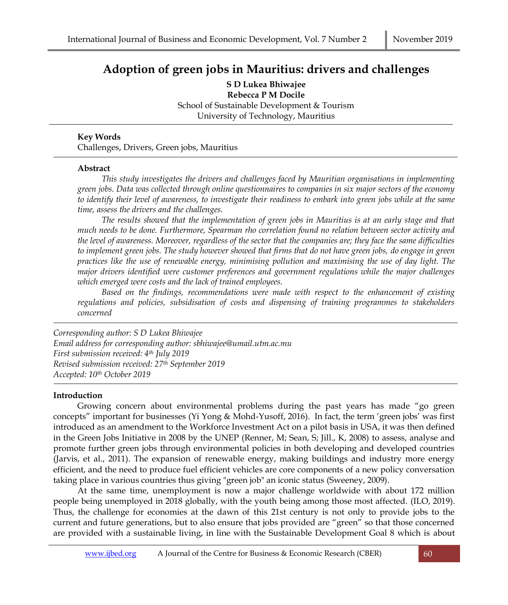# **Adoption of green jobs in Mauritius: drivers and challenges**

**S D Lukea Bhiwajee Rebecca P M Docile** School of Sustainable Development & Tourism University of Technology, Mauritius

## **Key Words**

Challenges, Drivers, Green jobs, Mauritius

### **Abstract**

*This study investigates the drivers and challenges faced by Mauritian organisations in implementing green jobs. Data was collected through online questionnaires to companies in six major sectors of the economy to identify their level of awareness, to investigate their readiness to embark into green jobs while at the same time, assess the drivers and the challenges.*

*The results showed that the implementation of green jobs in Mauritius is at an early stage and that much needs to be done. Furthermore, Spearman rho correlation found no relation between sector activity and the level of awareness. Moreover, regardless of the sector that the companies are; they face the same difficulties to implement green jobs. The study however showed that firms that do not have green jobs, do engage in green practices like the use of renewable energy, minimising pollution and maximising the use of day light. The major drivers identified were customer preferences and government regulations while the major challenges which emerged were costs and the lack of trained employees.* 

*Based on the findings, recommendations were made with respect to the enhancement of existing regulations and policies, subsidisation of costs and dispensing of training programmes to stakeholders concerned*

*Corresponding author: S D Lukea Bhiwajee Email address for corresponding author: sbhiwajee@umail.utm.ac.mu First submission received: 4th July 2019 Revised submission received: 27th September 2019 Accepted: 10th October 2019*

### **Introduction**

Growing concern about environmental problems during the past years has made "go green concepts" important for businesses (Yi Yong & Mohd-Yusoff, 2016). In fact, the term 'green jobs' was first introduced as an amendment to the Workforce Investment Act on a pilot basis in USA, it was then defined in the Green Jobs Initiative in 2008 by the UNEP (Renner, M; Sean, S; Jill., K, 2008) to assess, analyse and promote further green jobs through environmental policies in both developing and developed countries (Jarvis, et al., 2011). The expansion of renewable energy, making buildings and industry more energy efficient, and the need to produce fuel efficient vehicles are core components of a new policy conversation taking place in various countries thus giving "green job" an iconic status (Sweeney, 2009).

At the same time, unemployment is now a major challenge worldwide with about 172 million people being unemployed in 2018 globally, with the youth being among those most affected. (ILO, 2019). Thus, the challenge for economies at the dawn of this 21st century is not only to provide jobs to the current and future generations, but to also ensure that jobs provided are "green" so that those concerned are provided with a sustainable living, in line with the Sustainable Development Goal 8 which is about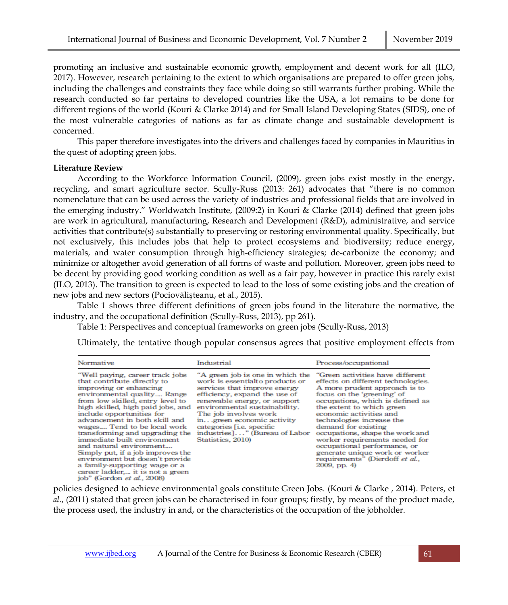promoting an inclusive and sustainable economic growth, employment and decent work for all (ILO, 2017). However, research pertaining to the extent to which organisations are prepared to offer green jobs, including the challenges and constraints they face while doing so still warrants further probing. While the research conducted so far pertains to developed countries like the USA, a lot remains to be done for different regions of the world (Kouri & Clarke 2014) and for Small Island Developing States (SIDS), one of the most vulnerable categories of nations as far as climate change and sustainable development is concerned.

This paper therefore investigates into the drivers and challenges faced by companies in Mauritius in the quest of adopting green jobs.

#### **Literature Review**

According to the Workforce Information Council, (2009), green jobs exist mostly in the energy, recycling, and smart agriculture sector. Scully-Russ (2013: 261) advocates that "there is no common nomenclature that can be used across the variety of industries and professional fields that are involved in the emerging industry." Worldwatch Institute, (2009:2) in Kouri & Clarke (2014) defined that green jobs are work in agricultural, manufacturing, Research and Development (R&D), administrative, and service activities that contribute(s) substantially to preserving or restoring environmental quality. Specifically, but not exclusively, this includes jobs that help to protect ecosystems and biodiversity; reduce energy, materials, and water consumption through high-efficiency strategies; de-carbonize the economy; and minimize or altogether avoid generation of all forms of waste and pollution. Moreover, green jobs need to be decent by providing good working condition as well as a fair pay, however in practice this rarely exist (ILO, 2013). The transition to green is expected to lead to the loss of some existing jobs and the creation of new jobs and new sectors (Pociovălișteanu, et al., 2015).

Table 1 shows three different definitions of green jobs found in the literature the normative, the industry, and the occupational definition (Scully-Russ, 2013), pp 261).

Table 1: Perspectives and conceptual frameworks on green jobs (Scully-Russ, 2013)

Ultimately, the tentative though popular consensus agrees that positive employment effects from

| Normative                                                                                                                                                                                                                                                                                                                                                                                                                                                                                                                                                            | Industrial                                                                                                                                                                                                                                                                                                                                              | Process/occupational                                                                                                                                                                                                                                                                                                                                                                                                                                                               |
|----------------------------------------------------------------------------------------------------------------------------------------------------------------------------------------------------------------------------------------------------------------------------------------------------------------------------------------------------------------------------------------------------------------------------------------------------------------------------------------------------------------------------------------------------------------------|---------------------------------------------------------------------------------------------------------------------------------------------------------------------------------------------------------------------------------------------------------------------------------------------------------------------------------------------------------|------------------------------------------------------------------------------------------------------------------------------------------------------------------------------------------------------------------------------------------------------------------------------------------------------------------------------------------------------------------------------------------------------------------------------------------------------------------------------------|
| "Well paying, career track jobs<br>that contribute directly to<br>improving or enhancing<br>environmental quality Range<br>from low skilled, entry level to<br>high skilled, high paid jobs, and<br>include opportunities for<br>advancement in both skill and<br>wages Tend to be local work<br>transforming and upgrading the<br>immediate built environment<br>and natural environment<br>Simply put, if a job improves the<br>environment but doesn't provide<br>a family-supporting wage or a<br>career ladder, it is not a green<br>job" (Gordon et al., 2008) | "A green job is one in which the<br>work is essential to products or<br>services that improve energy<br>efficiency, expand the use of<br>renewable energy, or support<br>environmental sustainability.<br>The job involves work<br>ingreen economic activity<br>categories [ <i>i.e.</i> specific<br>industries]" (Bureau of Labor<br>Statistics, 2010) | "Green activities have different<br>effects on different technologies.<br>A more prudent approach is to<br>focus on the 'greening' of<br>occupations, which is defined as<br>the extent to which green<br>economic activities and<br>technologies increase the<br>demand for existing<br>occupations, shape the work and<br>worker requirements needed for<br>occupational performance, or<br>generate unique work or worker<br>requirements" (Dierdoff et al.,<br>$2009$ , pp. 4) |

policies designed to achieve environmental goals constitute Green Jobs. (Kouri & Clarke , 2014). Peters, et *al.*, (2011) stated that green jobs can be characterised in four groups; firstly, by means of the product made, the process used, the industry in and, or the characteristics of the occupation of the jobholder.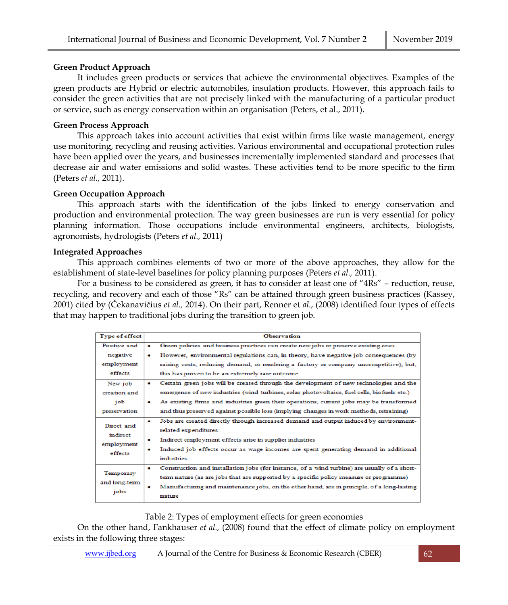## **Green Product Approach**

It includes green products or services that achieve the environmental objectives. Examples of the green products are Hybrid or electric automobiles, insulation products. However, this approach fails to consider the green activities that are not precisely linked with the manufacturing of a particular product or service, such as energy conservation within an organisation (Peters, et al., 2011).

# **Green Process Approach**

This approach takes into account activities that exist within firms like waste management, energy use monitoring, recycling and reusing activities. Various environmental and occupational protection rules have been applied over the years, and businesses incrementally implemented standard and processes that decrease air and water emissions and solid wastes. These activities tend to be more specific to the firm (Peters *et al.,* 2011).

# **Green Occupation Approach**

This approach starts with the identification of the jobs linked to energy conservation and production and environmental protection. The way green businesses are run is very essential for policy planning information. Those occupations include environmental engineers, architects, biologists, agronomists, hydrologists (Peters *et al.,* 2011)

# **Integrated Approaches**

This approach combines elements of two or more of the above approaches, they allow for the establishment of state-level baselines for policy planning purposes (Peters *et al.,* 2011).

For a business to be considered as green, it has to consider at least one of "4Rs" – reduction, reuse, recycling, and recovery and each of those "Rs" can be attained through green business practices (Kassey, 2001) cited by (Čekanavičius *et al.,* 2014). On their part, Renner et *al.*, (2008) identified four types of effects that may happen to traditional jobs during the transition to green job.

| <b>Type of effect</b> | <b>Observation</b>                                                                                    |
|-----------------------|-------------------------------------------------------------------------------------------------------|
| Positive and          | Green policies and business practices can create new jobs or preserve existing ones<br>۰              |
| negative              | However, environmental regulations can, in theory, have negative job consequences (by<br>۰            |
| employment            | raising costs, reducing demand, or rendering a factory or company uncompetitive); but,                |
| effects               | this has proven to be an extremely rare outcome                                                       |
| New job               | Certain green jobs will be created through the development of new technologies and the<br>۰           |
| creation and          | emergence of new industries (wind turbines, solar photovoltaics, fuel cells, biofuels etc.)           |
| job                   | As existing firms and industries green their operations, current jobs may be transformed<br>$\bullet$ |
| preservation          | and thus preserved against possible loss (implying changes in work methods, retraining)               |
| Direct and            | Jobs are created directly through increased demand and output induced by environment-<br>$\bullet$    |
| indirect              | related expenditures                                                                                  |
| employment            | Indirect employment effects arise in supplier industries<br>۰                                         |
| effects               | Induced job effects occur as wage incomes are spent generating demand in additional<br>۰              |
|                       | industries                                                                                            |
|                       | Construction and installation jobs (for instance, of a wind turbine) are usually of a short-<br>۰     |
| Temporary             | term nature (as are jobs that are supported by a specific policy measure or programme)                |
| and long-term         | Manufacturing and maintenance jobs, on the other hand, are in principle, of a long-lasting<br>۰       |
| jobs                  | nature                                                                                                |

# Table 2: Types of employment effects for green economies

On the other hand, Fankhauser *et al.,* (2008) found that the effect of climate policy on employment exists in the following three stages: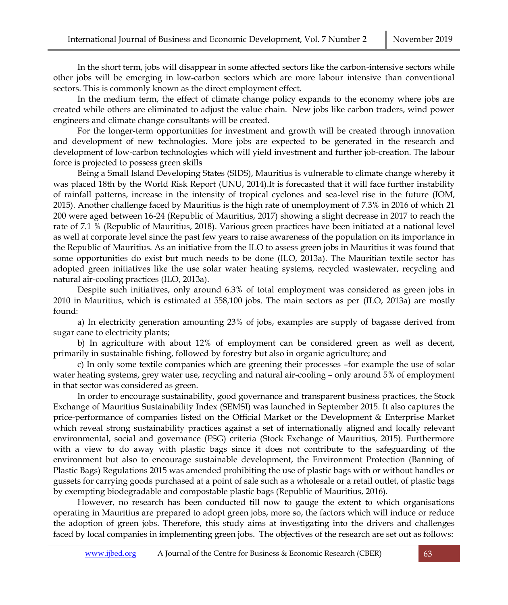In the short term, jobs will disappear in some affected sectors like the carbon-intensive sectors while other jobs will be emerging in low-carbon sectors which are more labour intensive than conventional sectors. This is commonly known as the direct employment effect.

In the medium term, the effect of climate change policy expands to the economy where jobs are created while others are eliminated to adjust the value chain. New jobs like carbon traders, wind power engineers and climate change consultants will be created.

For the longer-term opportunities for investment and growth will be created through innovation and development of new technologies. More jobs are expected to be generated in the research and development of low-carbon technologies which will yield investment and further job-creation. The labour force is projected to possess green skills

Being a Small Island Developing States (SIDS), Mauritius is vulnerable to climate change whereby it was placed 18th by the World Risk Report (UNU, 2014).It is forecasted that it will face further instability of rainfall patterns, increase in the intensity of tropical cyclones and sea-level rise in the future (IOM, 2015). Another challenge faced by Mauritius is the high rate of unemployment of 7.3% in 2016 of which 21 200 were aged between 16-24 (Republic of Mauritius, 2017) showing a slight decrease in 2017 to reach the rate of 7.1 % (Republic of Mauritius, 2018). Various green practices have been initiated at a national level as well at corporate level since the past few years to raise awareness of the population on its importance in the Republic of Mauritius. As an initiative from the ILO to assess green jobs in Mauritius it was found that some opportunities do exist but much needs to be done (ILO, 2013a). The Mauritian textile sector has adopted green initiatives like the use solar water heating systems, recycled wastewater, recycling and natural air-cooling practices (ILO, 2013a).

Despite such initiatives, only around 6.3% of total employment was considered as green jobs in 2010 in Mauritius, which is estimated at 558,100 jobs. The main sectors as per (ILO, 2013a) are mostly found:

a) In electricity generation amounting 23% of jobs, examples are supply of bagasse derived from sugar cane to electricity plants;

b) In agriculture with about 12% of employment can be considered green as well as decent, primarily in sustainable fishing, followed by forestry but also in organic agriculture; and

c) In only some textile companies which are greening their processes –for example the use of solar water heating systems, grey water use, recycling and natural air-cooling – only around 5% of employment in that sector was considered as green.

In order to encourage sustainability, good governance and transparent business practices, the Stock Exchange of Mauritius Sustainability Index (SEMSI) was launched in September 2015. It also captures the price-performance of companies listed on the Official Market or the Development & Enterprise Market which reveal strong sustainability practices against a set of internationally aligned and locally relevant environmental, social and governance (ESG) criteria (Stock Exchange of Mauritius, 2015). Furthermore with a view to do away with plastic bags since it does not contribute to the safeguarding of the environment but also to encourage sustainable development, the Environment Protection (Banning of Plastic Bags) Regulations 2015 was amended prohibiting the use of plastic bags with or without handles or gussets for carrying goods purchased at a point of sale such as a wholesale or a retail outlet, of plastic bags by exempting biodegradable and compostable plastic bags (Republic of Mauritius, 2016).

However, no research has been conducted till now to gauge the extent to which organisations operating in Mauritius are prepared to adopt green jobs, more so, the factors which will induce or reduce the adoption of green jobs. Therefore, this study aims at investigating into the drivers and challenges faced by local companies in implementing green jobs. The objectives of the research are set out as follows: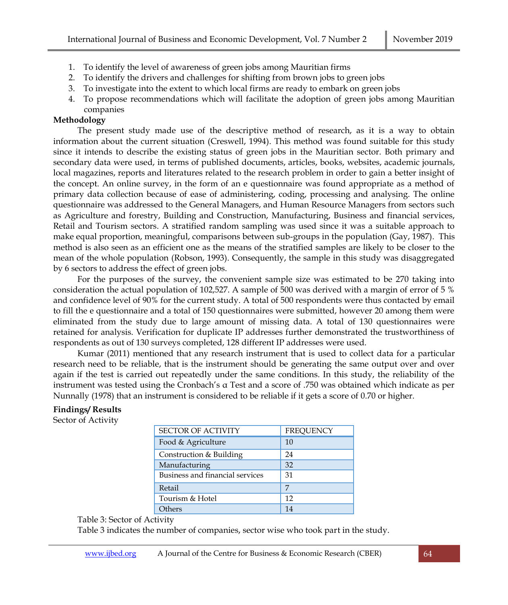- 1. To identify the level of awareness of green jobs among Mauritian firms
- 2. To identify the drivers and challenges for shifting from brown jobs to green jobs
- 3. To investigate into the extent to which local firms are ready to embark on green jobs
- 4. To propose recommendations which will facilitate the adoption of green jobs among Mauritian companies

# **Methodology**

The present study made use of the descriptive method of research, as it is a way to obtain information about the current situation (Creswell, 1994). This method was found suitable for this study since it intends to describe the existing status of green jobs in the Mauritian sector. Both primary and secondary data were used, in terms of published documents, articles, books, websites, academic journals, local magazines, reports and literatures related to the research problem in order to gain a better insight of the concept. An online survey, in the form of an e questionnaire was found appropriate as a method of primary data collection because of ease of administering, coding, processing and analysing. The online questionnaire was addressed to the General Managers, and Human Resource Managers from sectors such as Agriculture and forestry, Building and Construction, Manufacturing, Business and financial services, Retail and Tourism sectors. A stratified random sampling was used since it was a suitable approach to make equal proportion, meaningful, comparisons between sub-groups in the population (Gay, 1987). This method is also seen as an efficient one as the means of the stratified samples are likely to be closer to the mean of the whole population (Robson, 1993). Consequently, the sample in this study was disaggregated by 6 sectors to address the effect of green jobs.

For the purposes of the survey, the convenient sample size was estimated to be 270 taking into consideration the actual population of 102,527. A sample of 500 was derived with a margin of error of 5 % and confidence level of 90% for the current study. A total of 500 respondents were thus contacted by email to fill the e questionnaire and a total of 150 questionnaires were submitted, however 20 among them were eliminated from the study due to large amount of missing data. A total of 130 questionnaires were retained for analysis. Verification for duplicate IP addresses further demonstrated the trustworthiness of respondents as out of 130 surveys completed, 128 different IP addresses were used.

Kumar (2011) mentioned that any research instrument that is used to collect data for a particular research need to be reliable, that is the instrument should be generating the same output over and over again if the test is carried out repeatedly under the same conditions. In this study, the reliability of the instrument was tested using the Cronbach's α Test and a score of .750 was obtained which indicate as per Nunnally (1978) that an instrument is considered to be reliable if it gets a score of 0.70 or higher.

# **Findings/ Results**

Sector of Activity

| <b>SECTOR OF ACTIVITY</b>       | <b>FREQUENCY</b> |
|---------------------------------|------------------|
| Food & Agriculture              | 10               |
| Construction & Building         | 24               |
| Manufacturing                   | 32               |
| Business and financial services | 31               |
| Retail                          | 7                |
| Tourism & Hotel                 | 12               |
| )thers                          | 14               |

Table 3: Sector of Activity

Table 3 indicates the number of companies, sector wise who took part in the study.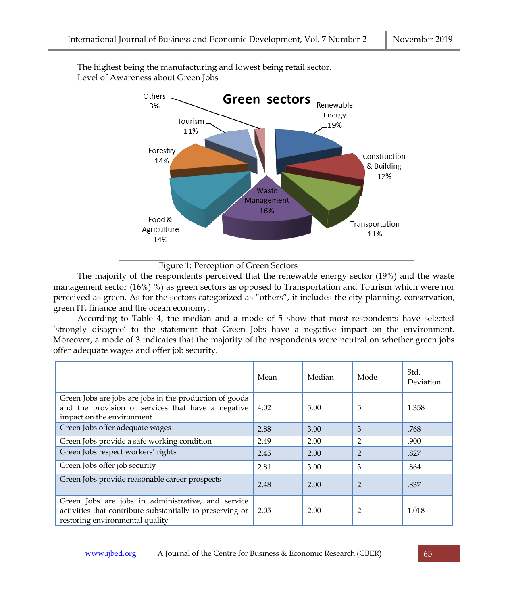

The highest being the manufacturing and lowest being retail sector. Level of Awareness about Green Jobs

The majority of the respondents perceived that the renewable energy sector (19%) and the waste management sector (16%) %) as green sectors as opposed to Transportation and Tourism which were nor perceived as green. As for the sectors categorized as "others", it includes the city planning, conservation, green IT, finance and the ocean economy.

According to Table 4, the median and a mode of 5 show that most respondents have selected 'strongly disagree' to the statement that Green Jobs have a negative impact on the environment. Moreover, a mode of 3 indicates that the majority of the respondents were neutral on whether green jobs offer adequate wages and offer job security.

|                                                                                                                                                    | Mean | Median | Mode           | Std.<br>Deviation |
|----------------------------------------------------------------------------------------------------------------------------------------------------|------|--------|----------------|-------------------|
| Green Jobs are jobs are jobs in the production of goods<br>and the provision of services that have a negative<br>impact on the environment         | 4.02 | 5.00   | 5              | 1.358             |
| Green Jobs offer adequate wages                                                                                                                    | 2.88 | 3.00   | 3              | .768              |
| Green Jobs provide a safe working condition                                                                                                        | 2.49 | 2.00   | 2              | .900              |
| Green Jobs respect workers' rights                                                                                                                 | 2.45 | 2.00   | $\overline{2}$ | .827              |
| Green Jobs offer job security                                                                                                                      | 2.81 | 3.00   | 3              | .864              |
| Green Jobs provide reasonable career prospects                                                                                                     | 2.48 | 2.00   | $\overline{2}$ | .837              |
| Green Jobs are jobs in administrative, and service<br>activities that contribute substantially to preserving or<br>restoring environmental quality | 2.05 | 2.00   | 2              | 1.018             |

Figure 1: Perception of Green Sectors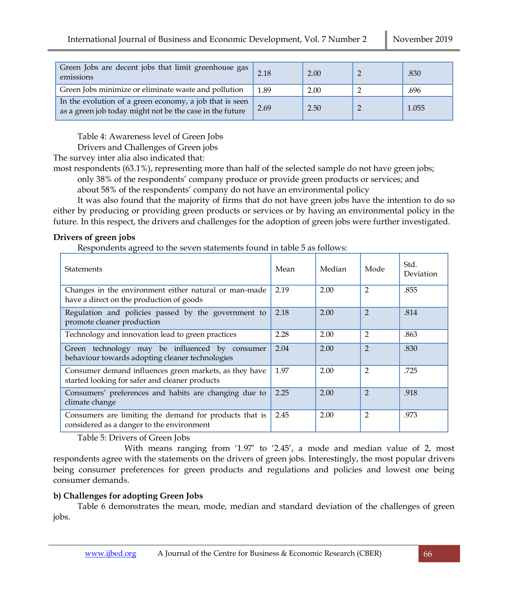| Green Jobs are decent jobs that limit greenhouse gas<br>emissions                                                   | 2.18 | 2.00 | .830  |
|---------------------------------------------------------------------------------------------------------------------|------|------|-------|
| Green Jobs minimize or eliminate waste and pollution                                                                | 1.89 | 2.00 | .696  |
| In the evolution of a green economy, a job that is seen<br>as a green job today might not be the case in the future | 2.69 | 2.50 | 1.055 |

Table 4: Awareness level of Green Jobs

Drivers and Challenges of Green jobs

The survey inter alia also indicated that:

most respondents (63.1%), representing more than half of the selected sample do not have green jobs;

only 38% of the respondents' company produce or provide green products or services; and

about 58% of the respondents' company do not have an environmental policy

It was also found that the majority of firms that do not have green jobs have the intention to do so either by producing or providing green products or services or by having an environmental policy in the future. In this respect, the drivers and challenges for the adoption of green jobs were further investigated.

# **Drivers of green jobs**

Respondents agreed to the seven statements found in table 5 as follows:

| <b>Statements</b>                                                                                        | Mean | Median | Mode           | Std.<br>Deviation |
|----------------------------------------------------------------------------------------------------------|------|--------|----------------|-------------------|
| Changes in the environment either natural or man-made<br>have a direct on the production of goods        | 2.19 | 2.00   | $\overline{2}$ | .855              |
| Regulation and policies passed by the government to<br>promote cleaner production                        | 2.18 | 2.00   | $\overline{2}$ | .814              |
| Technology and innovation lead to green practices                                                        | 2.28 | 2.00   | $\mathcal{P}$  | .863              |
| Green technology may be influenced by consumer<br>behaviour towards adopting cleaner technologies        | 2.04 | 2.00   | $\mathcal{P}$  | .830              |
| Consumer demand influences green markets, as they have<br>started looking for safer and cleaner products | 1.97 | 2.00   | $\overline{2}$ | .725              |
| Consumers' preferences and habits are changing due to<br>climate change                                  | 2.25 | 2.00   | $\mathcal{P}$  | .918              |
| Consumers are limiting the demand for products that is<br>considered as a danger to the environment      | 2.45 | 2.00   | $\mathcal{P}$  | .973              |

Table 5: Drivers of Green Jobs

 With means ranging from '1.97' to '2.45', a mode and median value of 2, most respondents agree with the statements on the drivers of green jobs. Interestingly, the most popular drivers being consumer preferences for green products and regulations and policies and lowest one being consumer demands.

# **b) Challenges for adopting Green Jobs**

Table 6 demonstrates the mean, mode, median and standard deviation of the challenges of green jobs.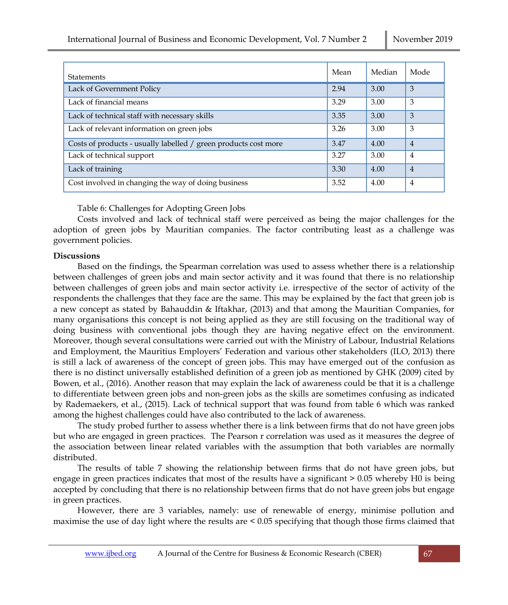| <b>Statements</b>                                               | Mean | Median | Mode           |
|-----------------------------------------------------------------|------|--------|----------------|
| Lack of Government Policy                                       | 2.94 | 3.00   | 3              |
| Lack of financial means                                         | 3.29 | 3.00   | 3              |
| Lack of technical staff with necessary skills                   | 3.35 | 3.00   | 3              |
| Lack of relevant information on green jobs                      | 3.26 | 3.00   | 3              |
| Costs of products - usually labelled / green products cost more | 3.47 | 4.00   | $\overline{4}$ |
| Lack of technical support                                       | 3.27 | 3.00   | $\overline{4}$ |
| Lack of training                                                | 3.30 | 4.00   | $\overline{4}$ |
| Cost involved in changing the way of doing business             | 3.52 | 4.00   | $\overline{4}$ |

Table 6: Challenges for Adopting Green Jobs

Costs involved and lack of technical staff were perceived as being the major challenges for the adoption of green jobs by Mauritian companies. The factor contributing least as a challenge was government policies.

### **Discussions**

Based on the findings, the Spearman correlation was used to assess whether there is a relationship between challenges of green jobs and main sector activity and it was found that there is no relationship between challenges of green jobs and main sector activity i.e. irrespective of the sector of activity of the respondents the challenges that they face are the same. This may be explained by the fact that green job is a new concept as stated by Bahauddin & Iftakhar, (2013) and that among the Mauritian Companies, for many organisations this concept is not being applied as they are still focusing on the traditional way of doing business with conventional jobs though they are having negative effect on the environment. Moreover, though several consultations were carried out with the Ministry of Labour, Industrial Relations and Employment, the Mauritius Employers' Federation and various other stakeholders (ILO, 2013) there is still a lack of awareness of the concept of green jobs. This may have emerged out of the confusion as there is no distinct universally established definition of a green job as mentioned by GHK (2009) cited by Bowen, et al., (2016). Another reason that may explain the lack of awareness could be that it is a challenge to differentiate between green jobs and non-green jobs as the skills are sometimes confusing as indicated by Rademaekers, et al., (2015). Lack of technical support that was found from table 6 which was ranked among the highest challenges could have also contributed to the lack of awareness.

The study probed further to assess whether there is a link between firms that do not have green jobs but who are engaged in green practices. The Pearson r correlation was used as it measures the degree of the association between linear related variables with the assumption that both variables are normally distributed.

The results of table 7 showing the relationship between firms that do not have green jobs, but engage in green practices indicates that most of the results have a significant > 0.05 whereby H0 is being accepted by concluding that there is no relationship between firms that do not have green jobs but engage in green practices.

However, there are 3 variables, namely: use of renewable of energy, minimise pollution and maximise the use of day light where the results are < 0.05 specifying that though those firms claimed that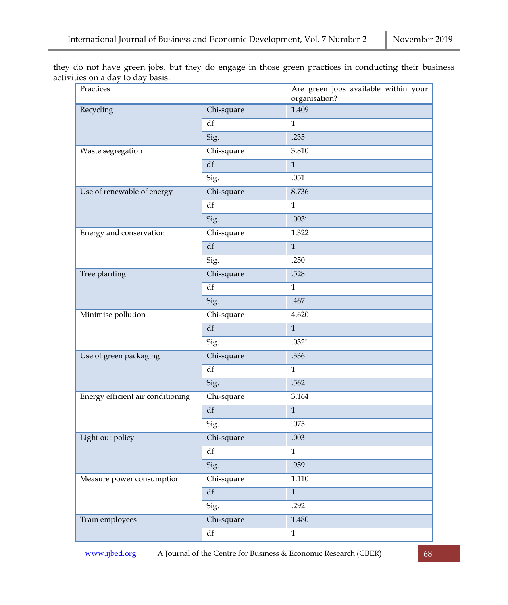they do not have green jobs, but they do engage in those green practices in conducting their business activities on a day to day basis.

| . <i><sub></sub> .</i><br>$- - - - -$<br>Practices |                        | Are green jobs available within your<br>organisation? |
|----------------------------------------------------|------------------------|-------------------------------------------------------|
| Recycling                                          | Chi-square             | 1.409                                                 |
|                                                    | df                     | $\mathbf{1}$                                          |
|                                                    | Sig.                   | .235                                                  |
| Waste segregation                                  | Chi-square             | 3.810                                                 |
|                                                    | $\overline{df}$        | $\mathbf{1}$                                          |
|                                                    | Sig.                   | .051                                                  |
| Use of renewable of energy                         | Chi-square             | 8.736                                                 |
|                                                    | df                     | $\mathbf{1}$                                          |
|                                                    | Sig.                   | $.003*$                                               |
| Energy and conservation                            | Chi-square             | 1.322                                                 |
|                                                    | $\overline{df}$        | $\mathbf{1}$                                          |
|                                                    | Sig.                   | .250                                                  |
| Tree planting                                      | Chi-square             | .528                                                  |
|                                                    | df                     | $\mathbf{1}$                                          |
|                                                    | Sig.                   | .467                                                  |
| Minimise pollution                                 | Chi-square             | 4.620                                                 |
|                                                    | $\overline{df}$        | $1\,$                                                 |
|                                                    | Sig.                   | $.032*$                                               |
| Use of green packaging                             | Chi-square             | .336                                                  |
|                                                    | df                     | $\mathbf{1}$                                          |
|                                                    | Sig.                   | .562                                                  |
| Energy efficient air conditioning                  | Chi-square             | 3.164                                                 |
|                                                    | $\overline{df}$        | $\mathbf{1}$                                          |
|                                                    | Sig.                   | .075                                                  |
| Light out policy                                   | Chi-square             | .003                                                  |
|                                                    | df                     | $\mathbf{1}$                                          |
|                                                    | Sig.                   | .959                                                  |
| Measure power consumption                          | Chi-square             | 1.110                                                 |
|                                                    | $\mathrm{d}\mathrm{f}$ | $\mathbf{1}$                                          |
|                                                    | Sig.                   | .292                                                  |
| Train employees                                    | Chi-square             | $1.480\,$                                             |
|                                                    | df                     | $\mathbf{1}$                                          |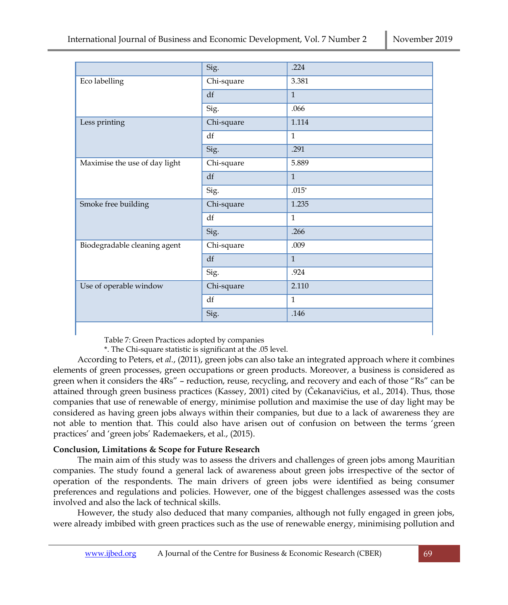|                               | Sig.       | .224           |
|-------------------------------|------------|----------------|
| Eco labelling                 | Chi-square | 3.381          |
|                               | df         | $\mathbf{1}$   |
|                               | Sig.       | .066           |
| Less printing                 | Chi-square | 1.114          |
|                               | df         | $\mathbf{1}$   |
|                               | Sig.       | .291           |
| Maximise the use of day light | Chi-square | 5.889          |
|                               | df         | $\mathbf{1}$   |
|                               | Sig.       | $.015^{\circ}$ |
| Smoke free building           | Chi-square | 1.235          |
|                               | df         | $\mathbf{1}$   |
|                               | Sig.       | .266           |
| Biodegradable cleaning agent  | Chi-square | .009           |
|                               | df         | $\mathbf{1}$   |
|                               | Sig.       | .924           |
| Use of operable window        | Chi-square | 2.110          |
|                               | df         | $\mathbf{1}$   |
|                               | Sig.       | .146           |
|                               |            |                |

Table 7: Green Practices adopted by companies

\*. The Chi-square statistic is significant at the .05 level.

According to Peters, et *al.*, (2011), green jobs can also take an integrated approach where it combines elements of green processes, green occupations or green products. Moreover, a business is considered as green when it considers the 4Rs" – reduction, reuse, recycling, and recovery and each of those "Rs" can be attained through green business practices (Kassey, 2001) cited by (Čekanavičius, et al., 2014). Thus, those companies that use of renewable of energy, minimise pollution and maximise the use of day light may be considered as having green jobs always within their companies, but due to a lack of awareness they are not able to mention that. This could also have arisen out of confusion on between the terms 'green practices' and 'green jobs' Rademaekers, et al., (2015).

# **Conclusion, Limitations & Scope for Future Research**

The main aim of this study was to assess the drivers and challenges of green jobs among Mauritian companies. The study found a general lack of awareness about green jobs irrespective of the sector of operation of the respondents. The main drivers of green jobs were identified as being consumer preferences and regulations and policies. However, one of the biggest challenges assessed was the costs involved and also the lack of technical skills.

However, the study also deduced that many companies, although not fully engaged in green jobs, were already imbibed with green practices such as the use of renewable energy, minimising pollution and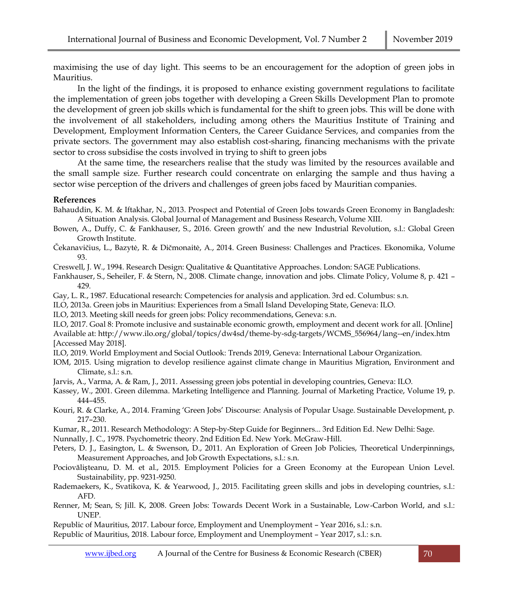maximising the use of day light. This seems to be an encouragement for the adoption of green jobs in Mauritius.

In the light of the findings, it is proposed to enhance existing government regulations to facilitate the implementation of green jobs together with developing a Green Skills Development Plan to promote the development of green job skills which is fundamental for the shift to green jobs. This will be done with the involvement of all stakeholders, including among others the Mauritius Institute of Training and Development, Employment Information Centers, the Career Guidance Services, and companies from the private sectors. The government may also establish cost-sharing, financing mechanisms with the private sector to cross subsidise the costs involved in trying to shift to green jobs

At the same time, the researchers realise that the study was limited by the resources available and the small sample size. Further research could concentrate on enlarging the sample and thus having a sector wise perception of the drivers and challenges of green jobs faced by Mauritian companies.

### **References**

- Bahauddin, K. M. & Iftakhar, N., 2013. Prospect and Potential of Green Jobs towards Green Economy in Bangladesh: A Situation Analysis. Global Journal of Management and Business Research, Volume XIII.
- Bowen, A., Duffy, C. & Fankhauser, S., 2016. Green growth' and the new Industrial Revolution, s.l.: Global Green Growth Institute.
- Čekanavičius, L., Bazytė, R. & Dičmonaitė, A., 2014. Green Business: Challenges and Practices. Ekonomika, Volume 93.
- Creswell, J. W., 1994. Research Design: Qualitative & Quantitative Approaches. London: SAGE Publications.
- Fankhauser, S., Seheiler, F. & Stern, N., 2008. Climate change, innovation and jobs. Climate Policy, Volume 8, p. 421 429.
- Gay, L. R., 1987. Educational research: Competencies for analysis and application. 3rd ed. Columbus: s.n.
- ILO, 2013a. Green jobs in Mauritius: Experiences from a Small Island Developing State, Geneva: ILO.
- ILO, 2013. Meeting skill needs for green jobs: Policy recommendations, Geneva: s.n.
- ILO, 2017. Goal 8: Promote inclusive and sustainable economic growth, employment and decent work for all. [Online] Available at: http://www.ilo.org/global/topics/dw4sd/theme-by-sdg-targets/WCMS\_556964/lang--en/index.htm [Accessed May 2018].
- ILO, 2019. World Employment and Social Outlook: Trends 2019, Geneva: International Labour Organization.
- IOM, 2015. Using migration to develop resilience against climate change in Mauritius Migration, Environment and Climate, s.l.: s.n.
- Jarvis, A., Varma, A. & Ram, J., 2011. Assessing green jobs potential in developing countries, Geneva: ILO.
- Kassey, W., 2001. Green dilemma. Marketing Intelligence and Planning. Journal of Marketing Practice, Volume 19, p. 444–455.
- Kouri, R. & Clarke, A., 2014. Framing 'Green Jobs' Discourse: Analysis of Popular Usage. Sustainable Development, p. 217–230.
- Kumar, R., 2011. Research Methodology: A Step-by-Step Guide for Beginners... 3rd Edition Ed. New Delhi: Sage.
- Nunnally, J. C., 1978. Psychometric theory. 2nd Edition Ed. New York. McGraw-Hill.
- Peters, D. J., Easington, L. & Swenson, D., 2011. An Exploration of Green Job Policies, Theoretical Underpinnings, Measurement Approaches, and Job Growth Expectations, s.l.: s.n.
- Pociovălișteanu, D. M. et al., 2015. Employment Policies for a Green Economy at the European Union Level. Sustainability, pp. 9231-9250.
- Rademaekers, K., Svatikova, K. & Yearwood, J., 2015. Facilitating green skills and jobs in developing countries, s.l.: AFD.
- Renner, M; Sean, S; Jill. K, 2008. Green Jobs: Towards Decent Work in a Sustainable, Low-Carbon World, and s.l.: UNEP.

Republic of Mauritius, 2017. Labour force, Employment and Unemployment – Year 2016, s.l.: s.n.

Republic of Mauritius, 2018. Labour force, Employment and Unemployment – Year 2017, s.l.: s.n.